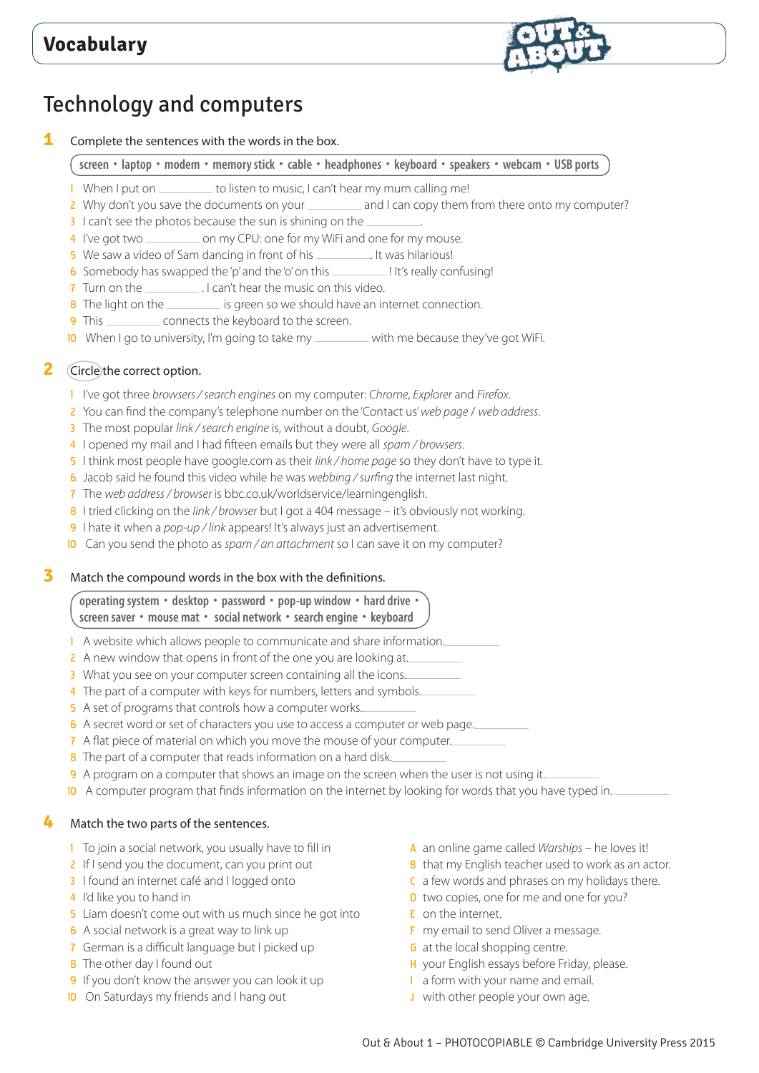

# Technology and computers

**1** Complete the sentences with the words in the box.

screen • laptop • modem • memory stick • cable • headphones • keyboard • speakers • webcam • USB ports

- 1 When I put on \_\_\_\_\_\_\_\_\_ to listen to music, I can't hear my mum calling me!
- 2 Why don't you save the documents on your \_\_\_\_\_\_\_\_\_ and I can copy them from there onto my computer?
- 3 I can't see the photos because the sun is shining on the
- 4 I've got two \_\_\_\_\_\_\_\_\_\_\_\_ on my CPU: one for my WiFi and one for my mouse.
- 5 We saw a video of Sam dancing in front of his \_\_\_\_\_\_\_\_\_\_. It was hilarious!
- 6 Somebody has swapped the 'p' and the 'o' on this \_\_\_\_\_\_\_\_\_\_\_! It's really confusing!
- 7 Turn on the \_\_\_\_\_\_\_\_\_\_\_\_\_. I can't hear the music on this video.
- 8 The light on the is green so we should have an internet connection.
- 9 This connects the keyboard to the screen.
- 10 When I go to university, I'm going to take my with me because they've got WiFi.

# **2** Circle the correct option.

- 1 I've got three *browsers / search engines* on my computer: *Chrome*, *Explorer* and *Firefox*.
- 2 You can find the company's telephone number on the 'Contact us' *web page* / *web address*.
- 3 The most popular *link / search engine* is, without a doubt, *Google*.
- 4 I opened my mail and I had fifteen emails but they were all *spam / browsers*.
- 5 I think most people have google.com as their *link / home page* so they don't have to type it.
- 6 Jacob said he found this video while he was *webbing / surfing* the internet last night.
- 7 The *web address / browser* is bbc.co.uk/worldservice/learningenglish.
- 8 I tried clicking on the *link / browser* but I got a 404 message it's obviously not working.
- 9 I hate it when a *pop-up / link* appears! It's always just an advertisement.
- 10 Can you send the photo as *spam / an attachment* so I can save it on my computer?

### **3** Match the compound words in the box with the definitions.

#### **operating system • desktop • password • pop-up window • hard drive • screen saver • mouse mat • social network • search engine • keyboard**

- 1 A website which allows people to communicate and share information.
- 2 A new window that opens in front of the one you are looking at.
- 3 What you see on your computer screen containing all the icons.
- 4 The part of a computer with keys for numbers, letters and symbols.
- 5 A set of programs that controls how a computer works.
- 6 A secret word or set of characters you use to access a computer or web page.

#### 7 A flat piece of material on which you move the mouse of your computer.

- 8 The part of a computer that reads information on a hard disk.
- 9 A program on a computer that shows an image on the screen when the user is not using it.
- 10 A computer program that finds information on the internet by looking for words that you have typed in.

### **4** Match the two parts of the sentences.

- 1 To join a social network, you usually have to fill in
- 2 If I send you the document, can you print out
- 3 I found an internet café and I logged onto
- 4 I'd like you to hand in
- 5 Liam doesn't come out with us much since he got into
- 6 A social network is a great way to link up
- 7 German is a difficult language but I picked up
- 8 The other day I found out
- 9 If you don't know the answer you can look it up
- 10 On Saturdays my friends and I hang out
- A an online game called *Warships* he loves it!
- **B** that my English teacher used to work as an actor.
- C a few words and phrases on my holidays there.
- D two copies, one for me and one for you?
- E on the internet.
- F my email to send Oliver a message.
- **G** at the local shopping centre.
- H your English essays before Friday, please.
- I a form with your name and email.
- J with other people your own age.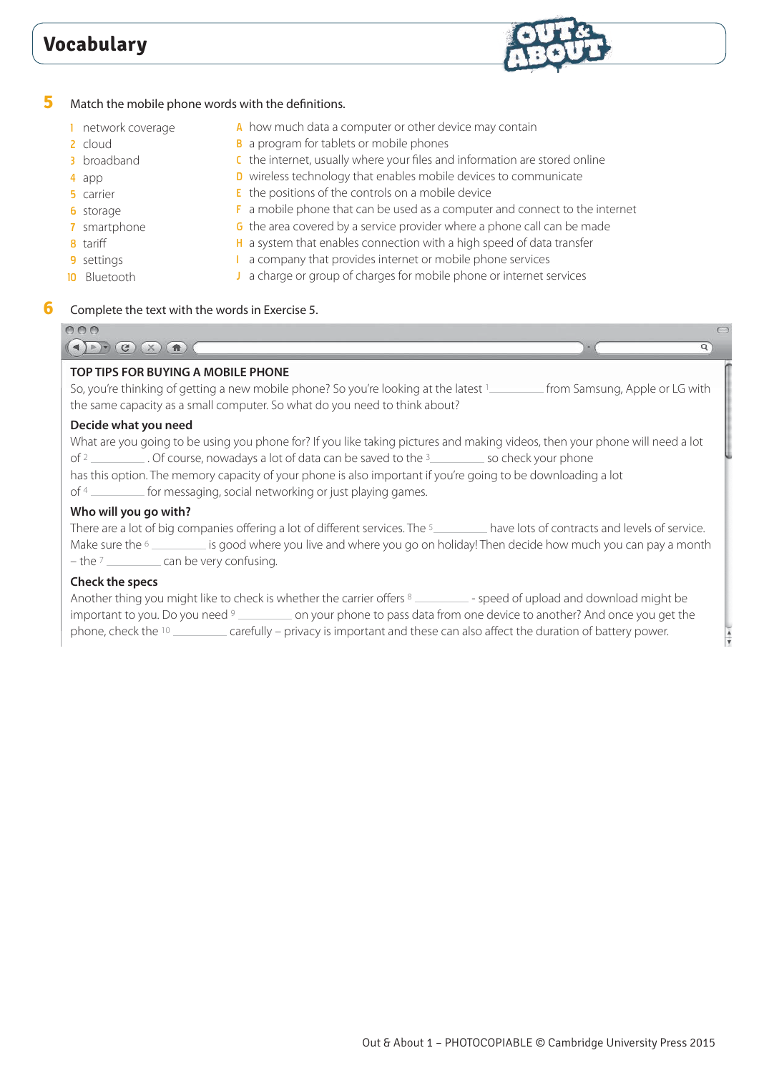

### **5** Match the mobile phone words with the definitions.

- 1 network coverage
- 2 cloud
- 3 broadband
- 4 app
- 5 carrier
- 6 storage
- 7 smartphone

**10** Bluetooth

- 8 tariff
- 9 settings
- F a mobile phone that can be used as a computer and connect to the internet G the area covered by a service provider where a phone call can be made

C the internet, usually where your files and information are stored online D wireless technology that enables mobile devices to communicate

- H a system that enables connection with a high speed of data transfer
- I a company that provides internet or mobile phone services

A how much data a computer or other device may contain

**B** a program for tablets or mobile phones

E the positions of the controls on a mobile device

J a charge or group of charges for mobile phone or internet services

## **6** Complete the text with the words in Exercise 5.

| 000                                                                                                                                                                                                                                                                                                                                                                                                                                                                                  |  |
|--------------------------------------------------------------------------------------------------------------------------------------------------------------------------------------------------------------------------------------------------------------------------------------------------------------------------------------------------------------------------------------------------------------------------------------------------------------------------------------|--|
| C(x)                                                                                                                                                                                                                                                                                                                                                                                                                                                                                 |  |
| TOP TIPS FOR BUYING A MOBILE PHONE<br>So, you're thinking of getting a new mobile phone? So you're looking at the latest 1____________ from Samsung, Apple or LG with<br>the same capacity as a small computer. So what do you need to think about?                                                                                                                                                                                                                                  |  |
| Decide what you need<br>What are you going to be using you phone for? If you like taking pictures and making videos, then your phone will need a lot<br>of <sup>2</sup> ____________. Of course, nowadays a lot of data can be saved to the <sup>3</sup> ____________ so check your phone<br>has this option. The memory capacity of your phone is also important if you're going to be downloading a lot<br>of 4 __________ for messaging, social networking or just playing games. |  |
| Who will you go with?<br>There are a lot of big companies offering a lot of different services. The 5_________ have lots of contracts and levels of service.<br>Make sure the $6 \_$ is good where you live and where you go on holiday! Then decide how much you can pay a month<br>$-$ the $7$ $\_\_\_\_\_\_\_\_\$ can be very confusing.<br>Check the specs                                                                                                                       |  |
| Another thing you might like to check is whether the carrier offers 8 ___________ - speed of upload and download might be<br>important to you. Do you need <sup>9</sup> __________ on your phone to pass data from one device to another? And once you get the                                                                                                                                                                                                                       |  |

phone, check the <sup>10</sup> carefully – privacy is important and these can also affect the duration of battery power.

 $\frac{1}{4}$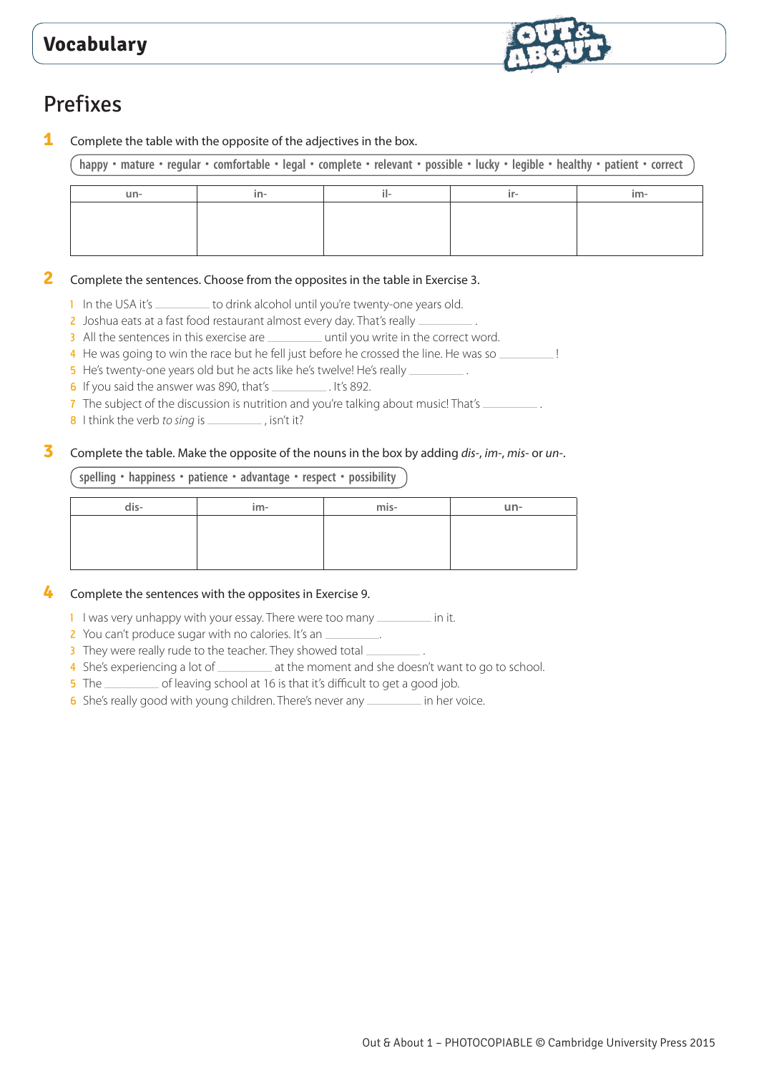

# Prefixes

**1** Complete the table with the opposite of the adjectives in the box.

happy · mature · regular · comfortable · legal · complete · relevant · possible · lucky · legible · healthy · patient · correct

### **2** Complete the sentences. Choose from the opposites in the table in Exercise 3.

- 1 In the USA it's \_\_\_\_\_\_\_\_\_ to drink alcohol until you're twenty-one years old.
- 2 Joshua eats at a fast food restaurant almost every day. That's really
- 3 All the sentences in this exercise are <u>second the virtual</u> until you write in the correct word.
- 4 He was going to win the race but he fell just before he crossed the line. He was so
- 5 He's twenty-one years old but he acts like he's twelve! He's really
- 6 If you said the answer was 890, that's  $\frac{1}{15}$ . It's 892.
- 7 The subject of the discussion is nutrition and you're talking about music! That's  $\equiv$
- 8 I think the verb *to sing* is \_\_\_\_\_\_\_\_, isn't it?

## **3** Complete the table. Make the opposite of the nouns in the box by adding *dis-*, *im-*, *mis-* or *un-*.

### **spelling • happiness • patience • advantage • respect • possibility**

| dis- | im- | mis- | un- |
|------|-----|------|-----|
|      |     |      |     |
|      |     |      |     |
|      |     |      |     |

## **4** Complete the sentences with the opposites in Exercise 9.

- 1 I was very unhappy with your essay. There were too many <u>in it</u>.
- 2 You can't produce sugar with no calories. It's an \_\_\_\_\_\_\_\_\_.
- 3 They were really rude to the teacher. They showed total
- 4 She's experiencing a lot of \_\_\_\_\_\_\_\_\_\_ at the moment and she doesn't want to go to school.
- 5 The subset of leaving school at 16 is that it's difficult to get a good job.
- 6 She's really good with young children. There's never any **interpollent** in her voice.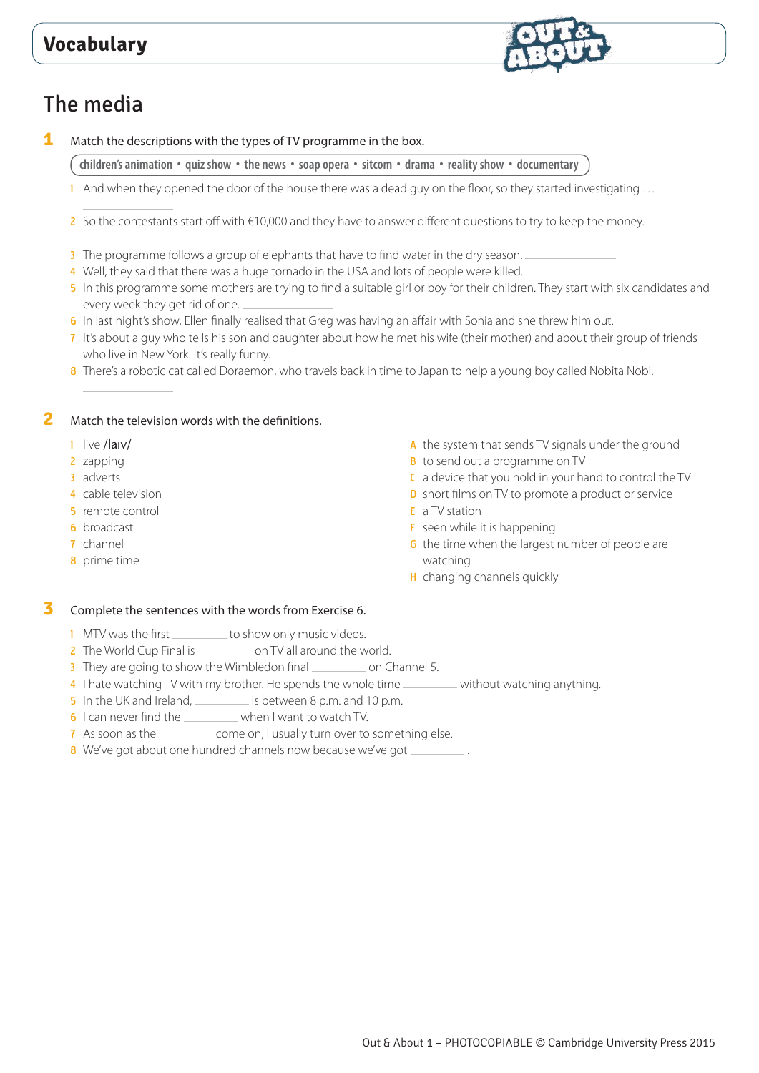

# The media

**1** Match the descriptions with the types of TV programme in the box.

**children's animation • quiz show • the news • soap opera • sitcom • drama • reality show • documentary**

- 1 And when they opened the door of the house there was a dead guy on the floor, so they started investigating ...
- 2 So the contestants start off with  $€10,000$  and they have to answer different questions to try to keep the money.
- 3 The programme follows a group of elephants that have to find water in the dry season.
- 4 Well, they said that there was a huge tornado in the USA and lots of people were killed.
- 5 In this programme some mothers are trying to find a suitable girl or boy for their children. They start with six candidates and every week they get rid of one.
- 6 In last night's show, Ellen finally realised that Greg was having an affair with Sonia and she threw him out.
- 7 It's about a guy who tells his son and daughter about how he met his wife (their mother) and about their group of friends who live in New York. It's really funny.
- 8 There's a robotic cat called Doraemon, who travels back in time to Japan to help a young boy called Nobita Nobi.

### **2** Match the television words with the definitions.

- 1 live /larv/
- 2 zapping
- 3 adverts
- 4 cable television
- 5 remote control
- 6 broadcast
- 7 channel
- 8 prime time
- A the system that sends TV signals under the ground
- **B** to send out a programme on TV
- C a device that you hold in your hand to control the TV
- **D** short films on TV to promote a product or service
- E a TV station
- **F** seen while it is happening
- G the time when the largest number of people are watching
- H changing channels quickly

### **3** Complete the sentences with the words from Exercise 6.

- 1 MTV was the first \_\_\_\_\_\_\_\_\_ to show only music videos.
- 2 The World Cup Final is \_\_\_\_\_\_\_\_\_\_\_ on TV all around the world.
- 3 They are going to show the Wimbledon final \_\_\_\_\_\_\_\_\_\_ on Channel 5.
- 4 I hate watching TV with my brother. He spends the whole time without watching anything.
- 5 In the UK and Ireland, is between 8 p.m. and 10 p.m.
- 6 I can never find the \_\_\_\_\_\_\_\_\_ when I want to watch TV.
- 7 As soon as the come on, I usually turn over to something else.
- 8 We've got about one hundred channels now because we've got  $\equiv$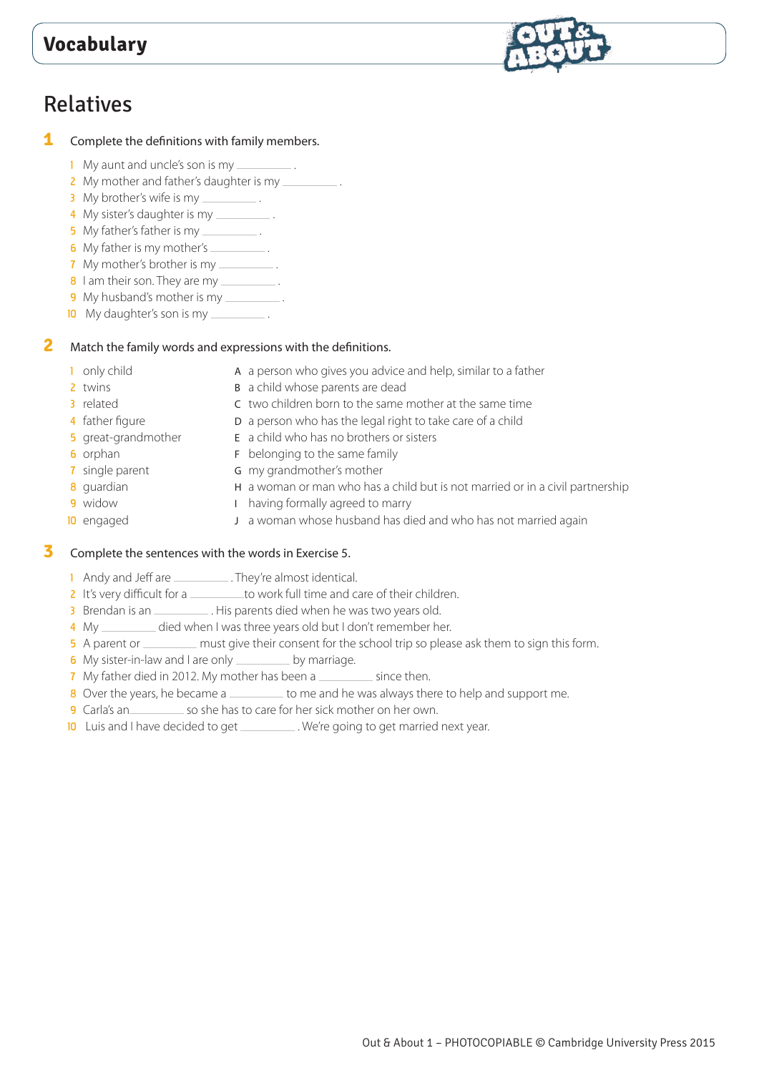



- 1 My aunt and uncle's son is my  $\equiv$
- 2 My mother and father's daughter is my
- 3 My brother's wife is my \_\_\_\_\_\_\_\_\_\_.
- 4 My sister's daughter is my
- 5 My father's father is my  $\equiv$
- 6 My father is my mother's \_\_\_\_\_\_\_\_\_\_.
- 7 My mother's brother is my \_\_\_\_\_\_\_\_\_.
- 8 I am their son. They are my
- 9 My husband's mother is my \_\_\_\_\_\_\_\_\_\_.<br>In My daughter's son is my \_\_\_\_\_\_\_\_\_\_.
- 10 My daughter's son is my

### **2** Match the family words and expressions with the definitions.

- 
- 1 only child **A** a person who gives you advice and help, similar to a father
- 2 twins B a child whose parents are dead
- 
- 3 related **C** two children born to the same mother at the same time 4 father figure **D** a person who has the legal right to take care of a child
- 5 great-grandmother **E** a child who has no brothers or sisters
- 
- 
- 
- 
- **6** orphan **F** belonging to the same family
- **7** single parent **G** my grandmother's mother
- 8 guardian H a woman or man who has a child but is not married or in a civil partnership
- 
- 
- **9** widow **I** having formally agreed to marry
- 10 engaged J a woman whose husband has died and who has not married again

# **3** Complete the sentences with the words in Exercise 5.

- 1 Andy and Jeff are \_\_\_\_\_\_\_\_\_\_\_. They're almost identical.
- 2 It's very difficult for a <u>the same to work full time</u> and care of their children.
- 3 Brendan is an \_\_\_\_\_\_\_\_\_\_\_. His parents died when he was two years old.
- 4 My \_\_\_\_\_\_\_\_ died when I was three years old but I don't remember her.
- 5 A parent or <u>must give their consent for the school trip</u> so please ask them to sign this form.
- 6 My sister-in-law and I are only **constant in the My marriage.**
- 7 My father died in 2012. My mother has been a
- 8 Over the years, he became a \_\_\_\_\_\_\_\_\_ to me and he was always there to help and support me.
- 9 Carla's an so she has to care for her sick mother on her own.
- 10 Luis and I have decided to get \_\_\_\_\_\_\_\_\_. We're going to get married next year.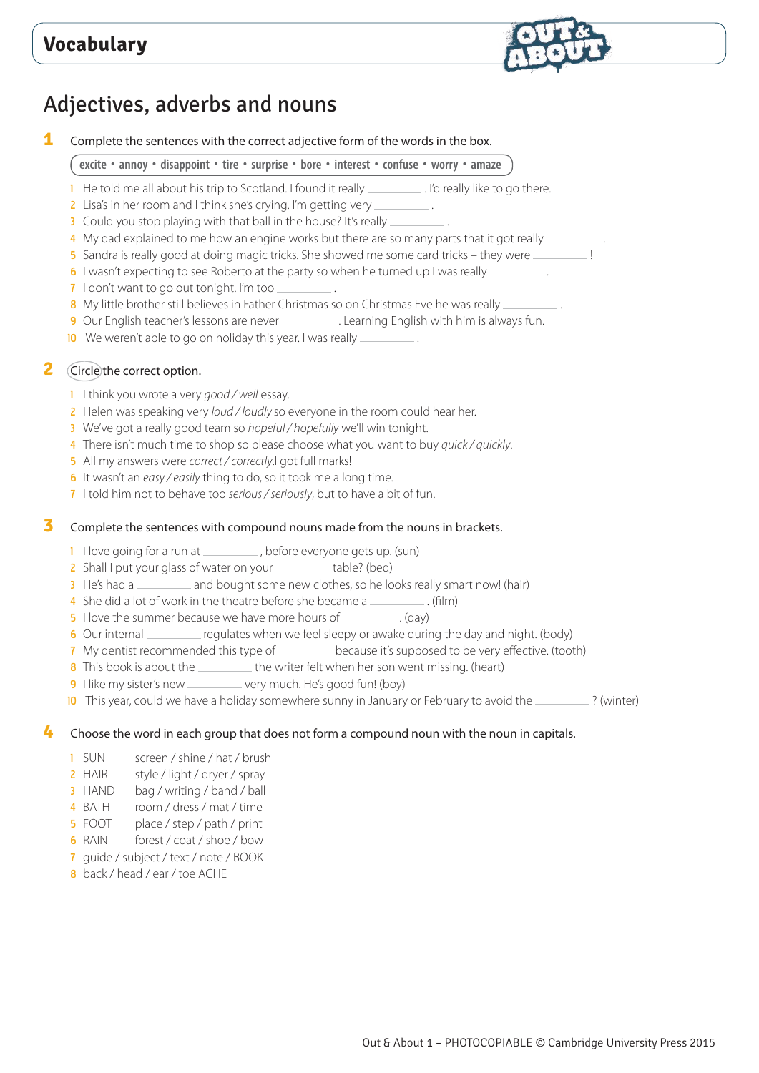

# Adjectives, adverbs and nouns

**1** Complete the sentences with the correct adjective form of the words in the box.

# **excite • annoy • disappoint • tire • surprise • bore • interest • confuse • worry • amaze**

- 1 He told me all about his trip to Scotland. I found it really \_\_\_\_\_\_\_\_\_\_. I'd really like to go there.
- 2 Lisa's in her room and I think she's crying. I'm getting very \_\_\_\_\_\_
- 3 Could you stop playing with that ball in the house? It's really \_\_\_\_\_\_\_
- 4 My dad explained to me how an engine works but there are so many parts that it got really
- 5 Sandra is really good at doing magic tricks. She showed me some card tricks they were \_\_\_\_\_\_\_\_!
- 6 I wasn't expecting to see Roberto at the party so when he turned up I was really ....
- 7 I don't want to go out tonight. I'm too \_\_\_\_\_\_\_\_\_\_.
- 8 My little brother still believes in Father Christmas so on Christmas Eve he was really ...
- 9 Our English teacher's lessons are never . Learning English with him is always fun.
- 10 We weren't able to go on holiday this year. I was really \_\_\_\_\_\_\_\_\_\_.

# **2** Circle the correct option.

- 1 I think you wrote a very *good / well* essay.
- 2 Helen was speaking very *loud / loudly* so everyone in the room could hear her.
- 3 We've got a really good team so *hopeful / hopefully* we'll win tonight.
- 4 There isn't much time to shop so please choose what you want to buy *quick / quickly*.
- 5 All my answers were *correct / correctly*.I got full marks!
- 6 It wasn't an *easy / easily* thing to do, so it took me a long time.
- 7 I told him not to behave too *serious / seriously*, but to have a bit of fun.

# **3** Complete the sentences with compound nouns made from the nouns in brackets.

- 1 I love going for a run at \_\_\_\_\_\_\_\_\_\_\_, before everyone gets up. (sun)
- 2 Shall I put your glass of water on your \_\_\_\_\_\_\_\_ table? (bed)
- 3 He's had a \_\_\_\_\_\_\_\_ and bought some new clothes, so he looks really smart now! (hair)
- 4 She did a lot of work in the theatre before she became a \_\_\_\_\_\_\_\_\_\_. (film)
- 5 I love the summer because we have more hours of \_\_\_\_\_\_\_\_\_\_\_. (day)
- 6 Our internal electron regulates when we feel sleepy or awake during the day and night. (body)
- 7 My dentist recommended this type of \_\_\_\_\_\_\_\_\_\_ because it's supposed to be very effective. (tooth)
- 8 This book is about the **the writer felt when her son went missing.** (heart)
- 9 I like my sister's new \_\_\_\_\_\_\_\_ very much. He's good fun! (boy)
- 10 This year, could we have a holiday somewhere sunny in January or February to avoid the \_\_\_\_\_\_\_\_\_? (winter)

# **4** Choose the word in each group that does not form a compound noun with the noun in capitals.

- 1 SUN screen / shine / hat / brush
- 2 HAIR style / light / dryer / spray
- 3 HAND bag / writing / band / ball
- 4 BATH room / dress / mat / time
- 5 FOOT place / step / path / print
- 6 RAIN forest / coat / shoe / bow
- 7 guide / subject / text / note / BOOK
- 8 back / head / ear / toe ACHE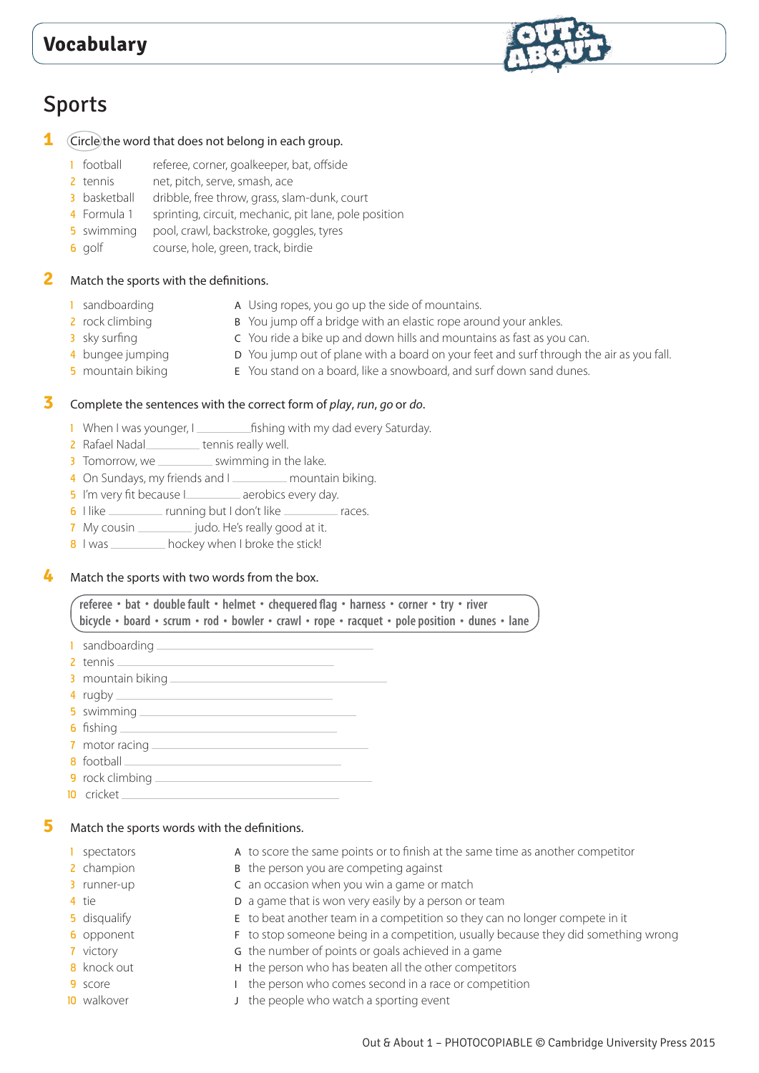

# Sports

## **1** Circle the word that does not belong in each group.

- 1 football referee, corner, goalkeeper, bat, offside
- 2 tennis net, pitch, serve, smash, ace
- 3 basketball dribble, free throw, grass, slam-dunk, court
- 4 Formula 1 sprinting, circuit, mechanic, pit lane, pole position
- 5 swimming pool, crawl, backstroke, goggles, tyres
- 6 golf course, hole, green, track, birdie

# **2** Match the sports with the definitions.

- 1 sandboarding A Using ropes, you go up the side of mountains.
- 2 rock climbing B You jump off a bridge with an elastic rope around your ankles.
	-
- 3 sky surfing C You ride a bike up and down hills and mountains as fast as you can.
- 4 bungee jumping **D** You jump out of plane with a board on your feet and surf through the air as you fall.
- 5 mountain biking E You stand on a board, like a snowboard, and surf down sand dunes.

## **3** Complete the sentences with the correct form of *play*, *run*, *go* or *do*.

- 1 When I was younger, I same in fishing with my dad every Saturday.
- 2 Rafael Nadal **tennis really well.**
- 3 Tomorrow, we \_\_\_\_\_\_\_\_\_\_\_ swimming in the lake.
- 4 On Sundays, my friends and I \_\_\_\_\_\_\_\_ mountain biking.
- 5 I'm very fit because I\_\_\_\_\_\_\_\_\_ aerobics every day.
- 6 I like running but I don't like races.
- 7 My cousin \_\_\_\_\_\_\_\_\_\_\_\_ judo. He's really good at it.
- 8 I was hockey when I broke the stick!

### **4** Match the sports with two words from the box.

#### **referee • bat • double fault • helmet • chequered flag • harness • corner • try • river**  bicycle • board • scrum • rod • bowler • crawl • rope • racquet • pole position • dunes • lane

- 1 sandboarding
- 2 tennis \_\_\_\_\_
- 3 mountain biking
- 4 rugby
- 5 swimming \_\_
- 6 fishing  $-$
- 7 motor racing
- 8 football
- 9 rock climbing
- 10 cricket

# **5** Match the sports words with the definitions.

- 
- 
- 
- 
- 
- 
- 
- 
- 
- 
- 1 spectators **A** to score the same points or to finish at the same time as another competitor
- 2 champion B the person you are competing against
- 3 runner-up **C** an occasion when you win a game or match
- 4 tie **D** a game that is won very easily by a person or team
- 5 disqualify E to beat another team in a competition so they can no longer compete in it
- 6 opponent F to stop someone being in a competition, usually because they did something wrong
- **7** victory **G** the number of points or goals achieved in a game
- 8 knock out **H** the person who has beaten all the other competitors
- 9 score **I** the person who comes second in a race or competition
- 10 walkover **J** the people who watch a sporting event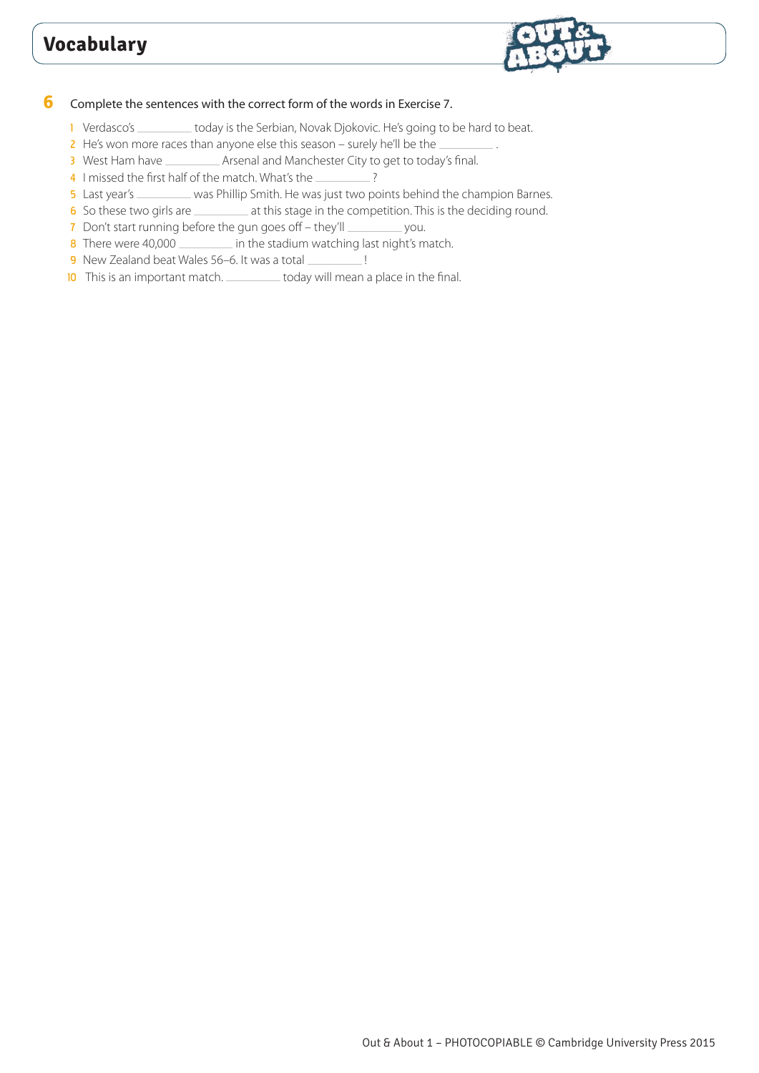

### **6** Complete the sentences with the correct form of the words in Exercise 7.

- 1 Verdasco's \_\_\_\_\_\_\_\_\_ today is the Serbian, Novak Djokovic. He's going to be hard to beat.
- $2$  He's won more races than anyone else this season surely he'll be the  $\equiv$
- 3 West Ham have \_\_\_\_\_\_\_\_\_ Arsenal and Manchester City to get to today's final.
- 4 I missed the first half of the match. What's the \_\_\_\_\_\_\_\_\_\_?
- 5 Last year's \_\_\_\_\_\_\_\_ was Phillip Smith. He was just two points behind the champion Barnes.
- 6 So these two girls are \_\_\_\_\_\_\_\_\_\_\_ at this stage in the competition. This is the deciding round.
- 7 Don't start running before the gun goes off they'll \_\_\_\_\_\_\_\_\_ you.
- 8 There were 40,000 in the stadium watching last night's match.
- 9 New Zealand beat Wales 56–6. It was a total \_\_\_\_\_\_\_\_\_\_ !
- 10 This is an important match.  $\frac{10}{10}$  This is an important match.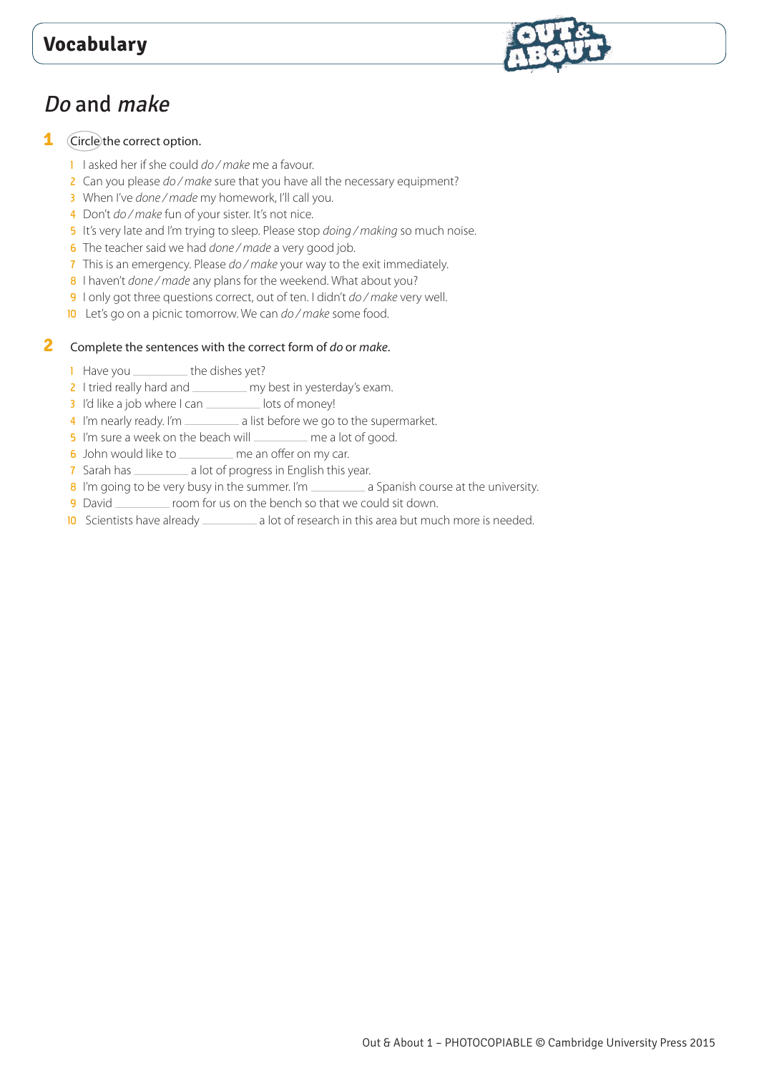# Do and make

# **1** Circle the correct option.

- 1 I asked her if she could *do / make* me a favour.
- 2 Can you please *do / make* sure that you have all the necessary equipment?
- 3 When I've *done / made* my homework, I'll call you.
- 4 Don't *do / make* fun of your sister. It's not nice.
- 5 It's very late and I'm trying to sleep. Please stop *doing / making* so much noise.
- 6 The teacher said we had *done / made* a very good job.
- 7 This is an emergency. Please *do / make* your way to the exit immediately.
- 8 I haven't *done / made* any plans for the weekend. What about you?
- 9 I only got three questions correct, out of ten. I didn't *do / make* very well.
- 10 Let's go on a picnic tomorrow. We can *do / make* some food.

# **2** Complete the sentences with the correct form of *do* or *make*.

- 1 Have you \_\_\_\_\_\_\_\_\_ the dishes yet?
- 2 I tried really hard and \_\_\_\_\_\_\_\_\_ my best in yesterday's exam.
- 3 I'd like a job where I can lots of money!
- 4 I'm nearly ready. I'm \_\_\_\_\_\_\_\_\_\_\_ a list before we go to the supermarket.
- 5 I'm sure a week on the beach will \_\_\_\_\_\_\_\_ me a lot of good.
- 6 John would like to \_\_\_\_\_\_\_\_\_\_ me an offer on my car.
- 7 Sarah has \_\_\_\_\_\_\_\_\_\_\_\_ a lot of progress in English this year.
- 8 I'm going to be very busy in the summer. I'm \_\_\_\_\_\_\_\_\_\_ a Spanish course at the university.
- **9** David \_\_\_\_\_\_\_\_ room for us on the bench so that we could sit down.
- 10 Scientists have already \_\_\_\_\_\_\_\_\_\_\_\_ a lot of research in this area but much more is needed.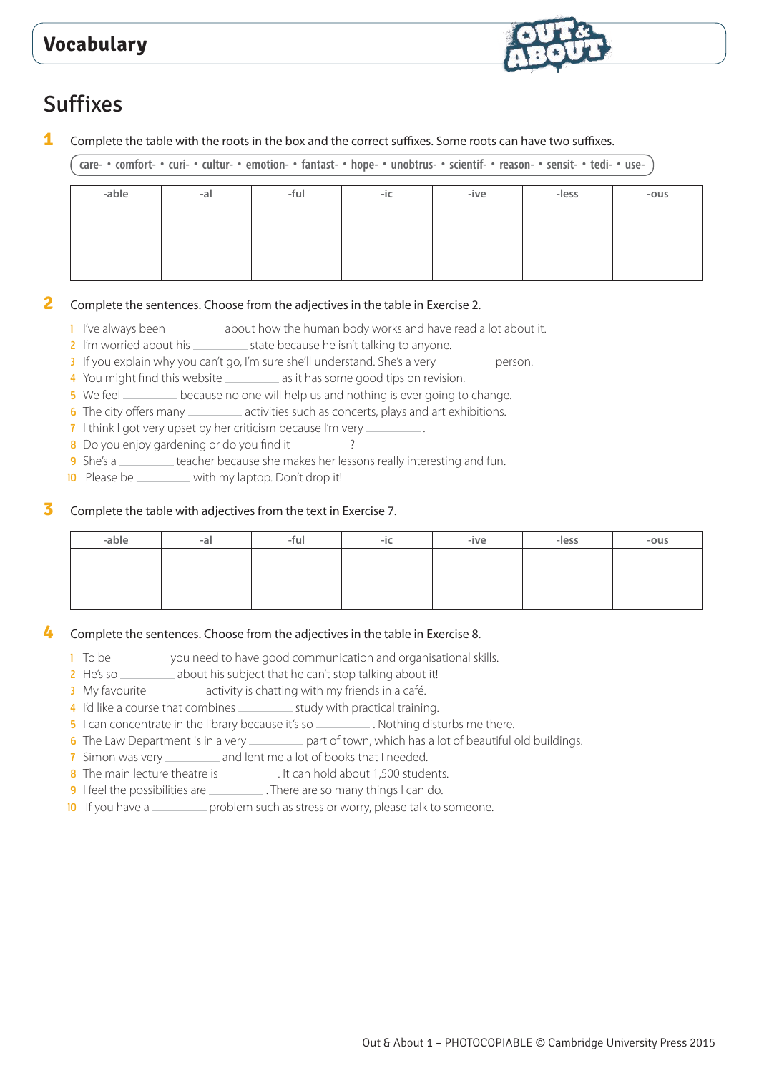

# Suffixes

**1** Complete the table with the roots in the box and the correct suffixes. Some roots can have two suffixes.

care- • comfort- • curi- • cultur- • emotion- • fantast- • hope- • unobtrus- • scientif- • reason- • sensit- • tedi- • use-

| -able | -a | -ful | -nu | -ive | -less | $-ous$ |
|-------|----|------|-----|------|-------|--------|
|       |    |      |     |      |       |        |
|       |    |      |     |      |       |        |
|       |    |      |     |      |       |        |
|       |    |      |     |      |       |        |

## **2** Complete the sentences. Choose from the adjectives in the table in Exercise 2.

- $\frac{1}{2}$  I've always been \_\_\_\_\_\_\_\_ about how the human body works and have read a lot about it.
- 2 I'm worried about his  $\frac{1}{2}$  state because he isn't talking to anyone.
- 3 If you explain why you can't go, I'm sure she'll understand. She's a very \_\_\_\_\_\_\_\_\_\_ person.
- 4 You might find this website \_\_\_\_\_\_\_\_\_\_ as it has some good tips on revision.
- 5 We feel **because no one will help us and nothing is ever going to change.**
- 6 The city offers many \_\_\_\_\_\_\_\_\_\_\_ activities such as concerts, plays and art exhibitions.
- 7 I think I got very upset by her criticism because I'm very .
- 8 Do you enjoy gardening or do you find it \_\_\_\_\_\_\_\_?
- 9 She's a <u>second</u> teacher because she makes her lessons really interesting and fun.
- 10 Please be \_\_\_\_\_\_\_\_ with my laptop. Don't drop it!

#### **3** Complete the table with adjectives from the text in Exercise 7.

## **4** Complete the sentences. Choose from the adjectives in the table in Exercise 8.

- 1 To be you need to have good communication and organisational skills.<br>
2 He's so \_\_\_\_\_\_\_\_\_\_ about his subject that he can't stop talking about it!
- <sup>2</sup> about his subject that he can't stop talking about it!
- 3 My favourite \_\_\_\_\_\_\_\_\_\_\_ activity is chatting with my friends in a café.
- 4 I'd like a course that combines \_\_\_\_\_\_\_\_\_\_\_\_\_ study with practical training.
- 5 I can concentrate in the library because it's so \_\_\_\_\_\_\_\_\_\_. Nothing disturbs me there.
- 6 The Law Department is in a very see the part of town, which has a lot of beautiful old buildings.
- 7 Simon was very \_\_\_\_\_\_\_\_\_ and lent me a lot of books that I needed.
- 8 The main lecture theatre is \_\_\_\_\_\_\_\_\_\_\_\_. It can hold about 1,500 students.
- 9 I feel the possibilities are \_\_\_\_\_\_\_\_\_. There are so many things I can do.
- 10 If you have a second problem such as stress or worry, please talk to someone.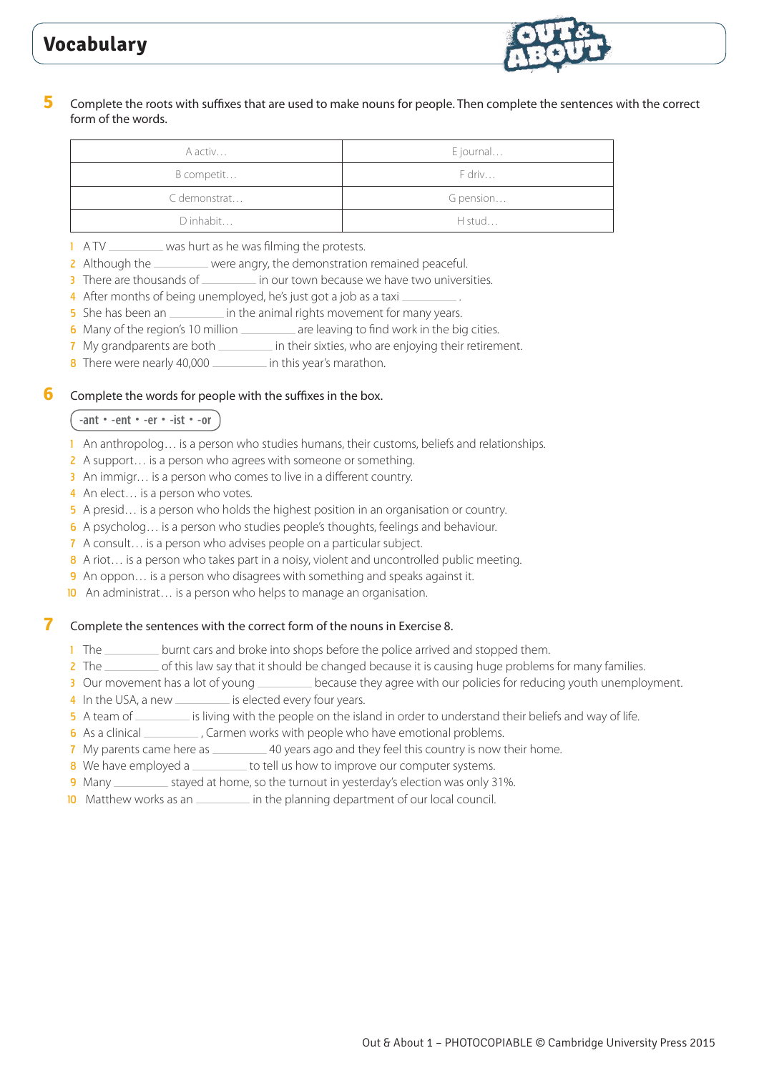

## **5** Complete the roots with suffixes that are used to make nouns for people. Then complete the sentences with the correct form of the words.

| A activ      | E journal |
|--------------|-----------|
| B competit   | F driv    |
| C demonstrat | G pension |
| D inhabit    | H stud    |

- 1 A TV \_\_\_\_\_\_\_\_\_ was hurt as he was filming the protests.
- 2 Although the were angry, the demonstration remained peaceful.
- 3 There are thousands of \_\_\_\_\_\_\_\_\_\_ in our town because we have two universities.
- 4 After months of being unemployed, he's just got a job as a taxi
- 5 She has been an **in the animal rights movement for many years.**
- 6 Many of the region's 10 million \_\_\_\_\_\_\_\_ are leaving to find work in the big cities.
- 7 My grandparents are both \_\_\_\_\_\_\_ in their sixties, who are enjoying their retirement.
- 8 There were nearly 40,000 in this year's marathon.

## **6** Complete the words for people with the suffixes in the box.

# **-ant • -ent • -er • -ist • -or**

- 1 An anthropolog… is a person who studies humans, their customs, beliefs and relationships.
- 2 A support... is a person who agrees with someone or something.
- 3 An immigr... is a person who comes to live in a different country.
- 4 An elect... is a person who votes.
- 5 A presid… is a person who holds the highest position in an organisation or country.
- 6 A psycholog… is a person who studies people's thoughts, feelings and behaviour.
- 7 A consult… is a person who advises people on a particular subject.
- 8 A riot... is a person who takes part in a noisy, violent and uncontrolled public meeting.
- 9 An oppon... is a person who disagrees with something and speaks against it.
- 10 An administrat... is a person who helps to manage an organisation.

# **7** Complete the sentences with the correct form of the nouns in Exercise 8.

- 1 The <u>success</u> burnt cars and broke into shops before the police arrived and stopped them.
- 2 The \_\_\_\_\_\_\_ of this law say that it should be changed because it is causing huge problems for many families.
- 3 Our movement has a lot of young \_\_\_\_\_\_\_\_\_\_ because they agree with our policies for reducing youth unemployment.
- 4 In the USA, a new \_\_\_\_\_\_\_\_\_\_\_ is elected every four years.
- 5 A team of <u>same is living with the people on the island in order to understand their beliefs and way of life.</u>
- 6 As a clinical \_\_\_\_\_\_\_\_\_\_\_, Carmen works with people who have emotional problems.
- 7 My parents came here as \_\_\_\_\_\_\_\_\_\_\_ 40 years ago and they feel this country is now their home.
- 8 We have employed a to tell us how to improve our computer systems.
- 9 Many stayed at home, so the turnout in yesterday's election was only 31%.
- 10 Matthew works as an **intrick** in the planning department of our local council.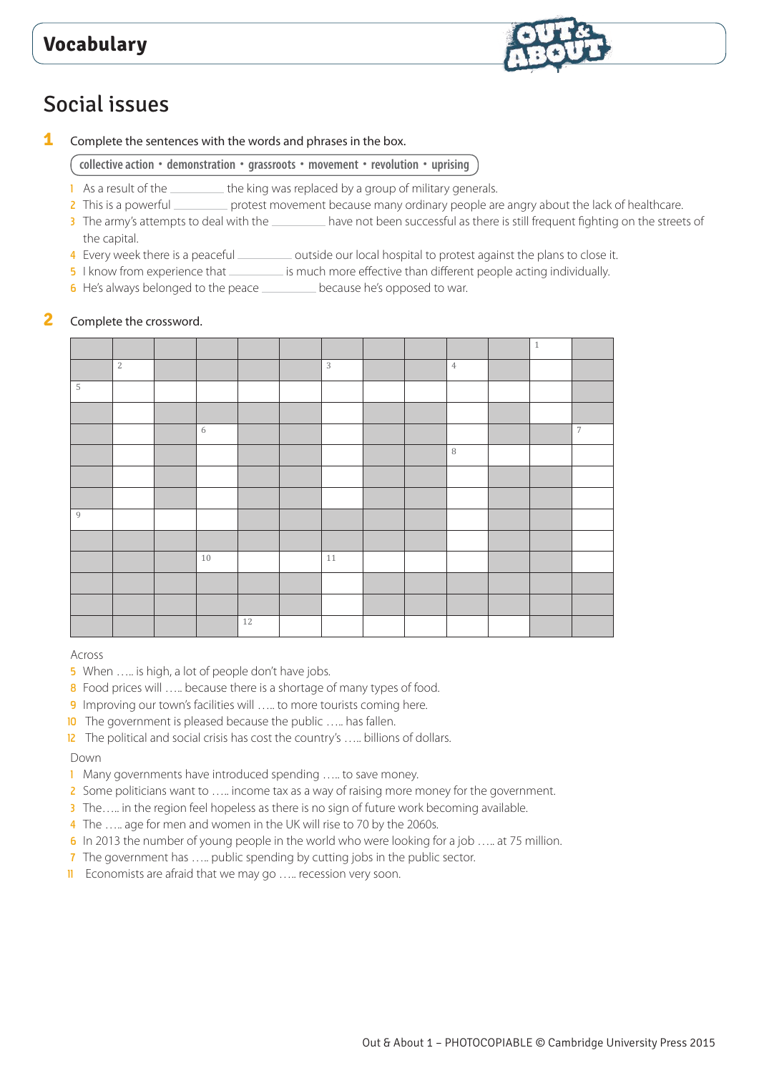

# Social issues

**1** Complete the sentences with the words and phrases in the box.

**collective action • demonstration • grassroots • movement • revolution • uprising**

- 1 As a result of the <u>the king</u> was replaced by a group of military generals.
- 2 This is a powerful \_\_\_\_\_\_\_\_ protest movement because many ordinary people are angry about the lack of healthcare.
- 3 The army's attempts to deal with the have not been successful as there is still frequent fighting on the streets of the capital.
- 4 Every week there is a peaceful subsetimation outside our local hospital to protest against the plans to close it.
- 5 I know from experience that interest is much more effective than different people acting individually.
- 6 He's always belonged to the peace \_\_\_\_\_\_\_\_ because he's opposed to war.

#### **2** Complete the crossword.

|                |                |    |    |    |  |                | $\mathbf{1}$ |                |
|----------------|----------------|----|----|----|--|----------------|--------------|----------------|
|                | $\overline{2}$ |    |    | 3  |  | $\overline{4}$ |              |                |
| $\mathbbm{5}$  |                |    |    |    |  |                |              |                |
|                |                |    |    |    |  |                |              |                |
|                |                | 6  |    |    |  |                |              | $\overline{7}$ |
|                |                |    |    |    |  | $\, 8$         |              |                |
|                |                |    |    |    |  |                |              |                |
|                |                |    |    |    |  |                |              |                |
| $\overline{9}$ |                |    |    |    |  |                |              |                |
|                |                |    |    |    |  |                |              |                |
|                |                | 10 |    | 11 |  |                |              |                |
|                |                |    |    |    |  |                |              |                |
|                |                |    |    |    |  |                |              |                |
|                |                |    | 12 |    |  |                |              |                |

#### Across

- 5 When ..... is high, a lot of people don't have jobs.
- 8 Food prices will ..... because there is a shortage of many types of food.
- 9 Improving our town's facilities will ... to more tourists coming here.
- 10 The government is pleased because the public ..... has fallen.
- 12 The political and social crisis has cost the country's ..... billions of dollars.

#### Down

- 1 Many governments have introduced spending ….. to save money.
- 2 Some politicians want to ..... income tax as a way of raising more money for the government.
- 3 The..... in the region feel hopeless as there is no sign of future work becoming available.
- 4 The ..... age for men and women in the UK will rise to 70 by the 2060s.
- 6 In 2013 the number of young people in the world who were looking for a job ….. at 75 million.
- 7 The government has ..... public spending by cutting jobs in the public sector.
- **II** Economists are afraid that we may go ..... recession very soon.